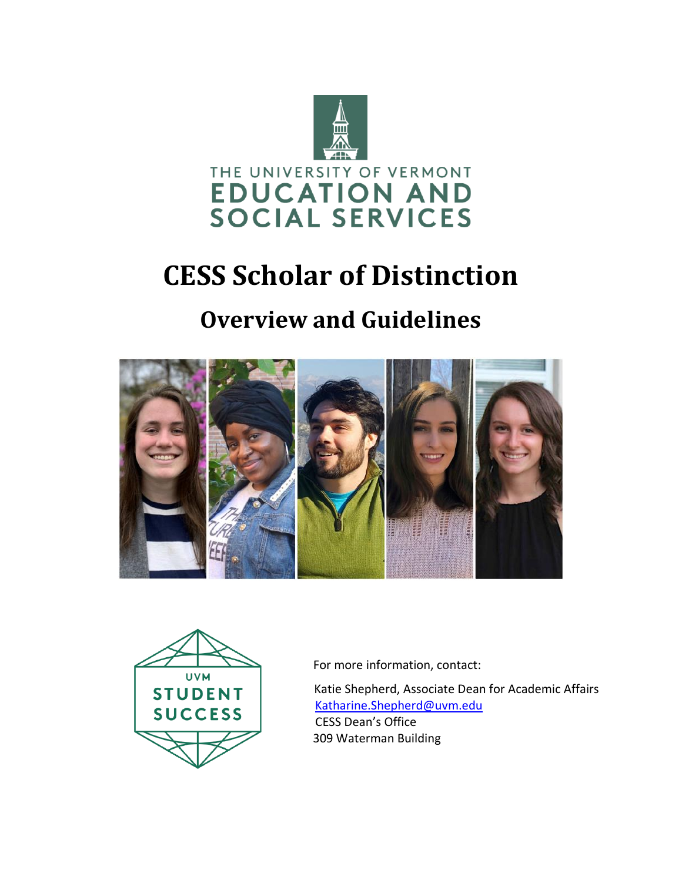

# **CESS Scholar of Distinction**

# **Overview and Guidelines**





For more information, contact:

Katie Shepherd, Associate Dean for Academic Affairs [Katharine.Shepherd@uvm.edu](mailto:Katharine.Shepherd@uvm.edu) CESS Dean's Office 309 Waterman Building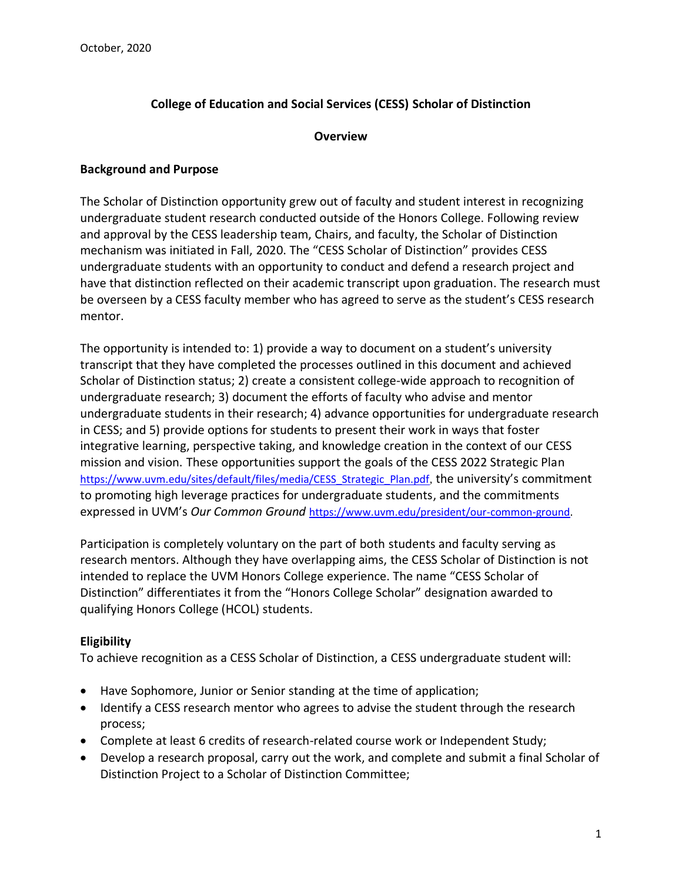# **College of Education and Social Services (CESS) Scholar of Distinction**

#### **Overview**

#### **Background and Purpose**

The Scholar of Distinction opportunity grew out of faculty and student interest in recognizing undergraduate student research conducted outside of the Honors College. Following review and approval by the CESS leadership team, Chairs, and faculty, the Scholar of Distinction mechanism was initiated in Fall, 2020. The "CESS Scholar of Distinction" provides CESS undergraduate students with an opportunity to conduct and defend a research project and have that distinction reflected on their academic transcript upon graduation. The research must be overseen by a CESS faculty member who has agreed to serve as the student's CESS research mentor.

The opportunity is intended to: 1) provide a way to document on a student's university transcript that they have completed the processes outlined in this document and achieved Scholar of Distinction status; 2) create a consistent college-wide approach to recognition of undergraduate research; 3) document the efforts of faculty who advise and mentor undergraduate students in their research; 4) advance opportunities for undergraduate research in CESS; and 5) provide options for students to present their work in ways that foster integrative learning, perspective taking, and knowledge creation in the context of our CESS mission and vision. These opportunities support the goals of the CESS 2022 Strategic Plan [https://www.uvm.edu/sites/default/files/media/CESS\\_Strategic\\_Plan.pdf](https://www.uvm.edu/sites/default/files/media/CESS_Strategic_Plan.pdf), the university's commitment to promoting high leverage practices for undergraduate students, and the commitments expressed in UVM's *Our Common Ground* [https://www.uvm.edu/president/our-common-ground.](https://www.uvm.edu/president/our-common-ground)

Participation is completely voluntary on the part of both students and faculty serving as research mentors. Although they have overlapping aims, the CESS Scholar of Distinction is not intended to replace the UVM Honors College experience. The name "CESS Scholar of Distinction" differentiates it from the "Honors College Scholar" designation awarded to qualifying Honors College (HCOL) students.

# **Eligibility**

To achieve recognition as a CESS Scholar of Distinction, a CESS undergraduate student will:

- Have Sophomore, Junior or Senior standing at the time of application;
- Identify a CESS research mentor who agrees to advise the student through the research process;
- Complete at least 6 credits of research-related course work or Independent Study;
- Develop a research proposal, carry out the work, and complete and submit a final Scholar of Distinction Project to a Scholar of Distinction Committee;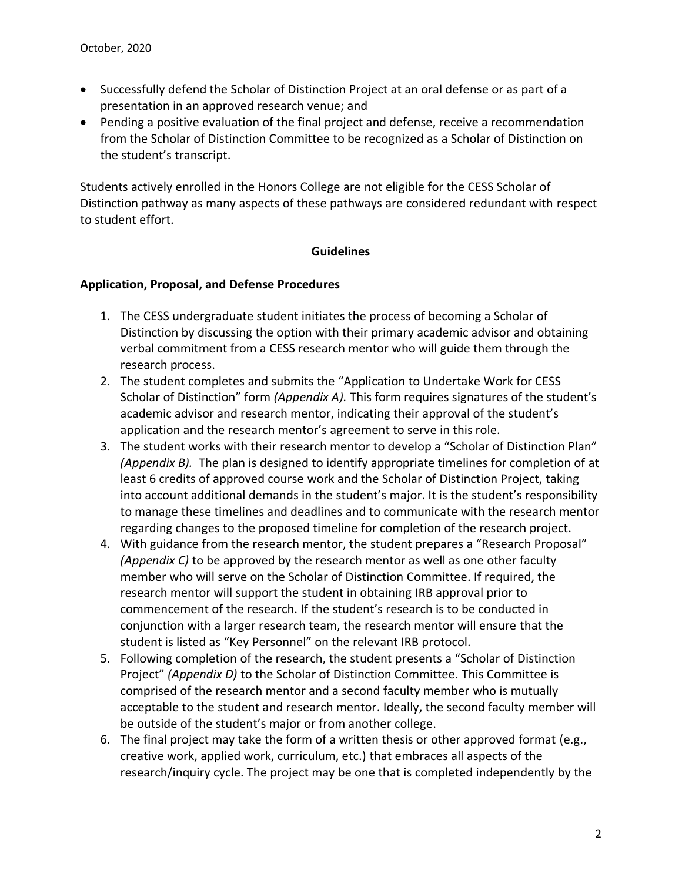- Successfully defend the Scholar of Distinction Project at an oral defense or as part of a presentation in an approved research venue; and
- Pending a positive evaluation of the final project and defense, receive a recommendation from the Scholar of Distinction Committee to be recognized as a Scholar of Distinction on the student's transcript.

Students actively enrolled in the Honors College are not eligible for the CESS Scholar of Distinction pathway as many aspects of these pathways are considered redundant with respect to student effort.

#### **Guidelines**

#### **Application, Proposal, and Defense Procedures**

- 1. The CESS undergraduate student initiates the process of becoming a Scholar of Distinction by discussing the option with their primary academic advisor and obtaining verbal commitment from a CESS research mentor who will guide them through the research process.
- 2. The student completes and submits the "Application to Undertake Work for CESS Scholar of Distinction" form *(Appendix A).* This form requires signatures of the student's academic advisor and research mentor, indicating their approval of the student's application and the research mentor's agreement to serve in this role.
- 3. The student works with their research mentor to develop a "Scholar of Distinction Plan" *(Appendix B).* The plan is designed to identify appropriate timelines for completion of at least 6 credits of approved course work and the Scholar of Distinction Project, taking into account additional demands in the student's major. It is the student's responsibility to manage these timelines and deadlines and to communicate with the research mentor regarding changes to the proposed timeline for completion of the research project.
- 4. With guidance from the research mentor, the student prepares a "Research Proposal" *(Appendix C)* to be approved by the research mentor as well as one other faculty member who will serve on the Scholar of Distinction Committee. If required, the research mentor will support the student in obtaining IRB approval prior to commencement of the research. If the student's research is to be conducted in conjunction with a larger research team, the research mentor will ensure that the student is listed as "Key Personnel" on the relevant IRB protocol.
- 5. Following completion of the research, the student presents a "Scholar of Distinction Project" *(Appendix D)* to the Scholar of Distinction Committee. This Committee is comprised of the research mentor and a second faculty member who is mutually acceptable to the student and research mentor. Ideally, the second faculty member will be outside of the student's major or from another college.
- 6. The final project may take the form of a written thesis or other approved format (e.g., creative work, applied work, curriculum, etc.) that embraces all aspects of the research/inquiry cycle. The project may be one that is completed independently by the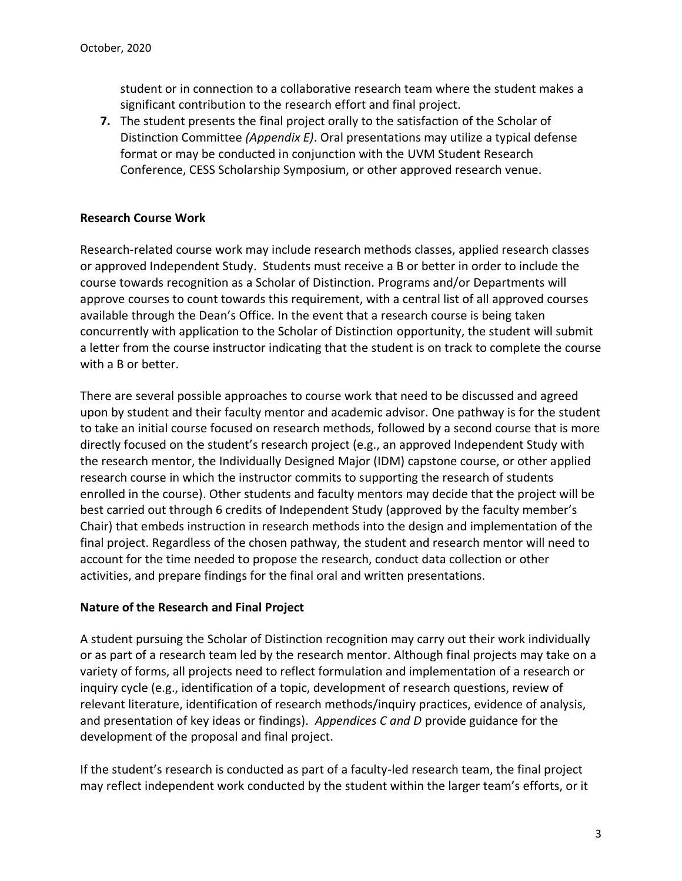student or in connection to a collaborative research team where the student makes a significant contribution to the research effort and final project.

**7.** The student presents the final project orally to the satisfaction of the Scholar of Distinction Committee *(Appendix E)*. Oral presentations may utilize a typical defense format or may be conducted in conjunction with the UVM Student Research Conference, CESS Scholarship Symposium, or other approved research venue.

# **Research Course Work**

Research-related course work may include research methods classes, applied research classes or approved Independent Study. Students must receive a B or better in order to include the course towards recognition as a Scholar of Distinction. Programs and/or Departments will approve courses to count towards this requirement, with a central list of all approved courses available through the Dean's Office. In the event that a research course is being taken concurrently with application to the Scholar of Distinction opportunity, the student will submit a letter from the course instructor indicating that the student is on track to complete the course with a B or better.

There are several possible approaches to course work that need to be discussed and agreed upon by student and their faculty mentor and academic advisor. One pathway is for the student to take an initial course focused on research methods, followed by a second course that is more directly focused on the student's research project (e.g., an approved Independent Study with the research mentor, the Individually Designed Major (IDM) capstone course, or other applied research course in which the instructor commits to supporting the research of students enrolled in the course). Other students and faculty mentors may decide that the project will be best carried out through 6 credits of Independent Study (approved by the faculty member's Chair) that embeds instruction in research methods into the design and implementation of the final project. Regardless of the chosen pathway, the student and research mentor will need to account for the time needed to propose the research, conduct data collection or other activities, and prepare findings for the final oral and written presentations.

# **Nature of the Research and Final Project**

A student pursuing the Scholar of Distinction recognition may carry out their work individually or as part of a research team led by the research mentor. Although final projects may take on a variety of forms, all projects need to reflect formulation and implementation of a research or inquiry cycle (e.g., identification of a topic, development of research questions, review of relevant literature, identification of research methods/inquiry practices, evidence of analysis, and presentation of key ideas or findings). *Appendices C and D* provide guidance for the development of the proposal and final project.

If the student's research is conducted as part of a faculty-led research team, the final project may reflect independent work conducted by the student within the larger team's efforts, or it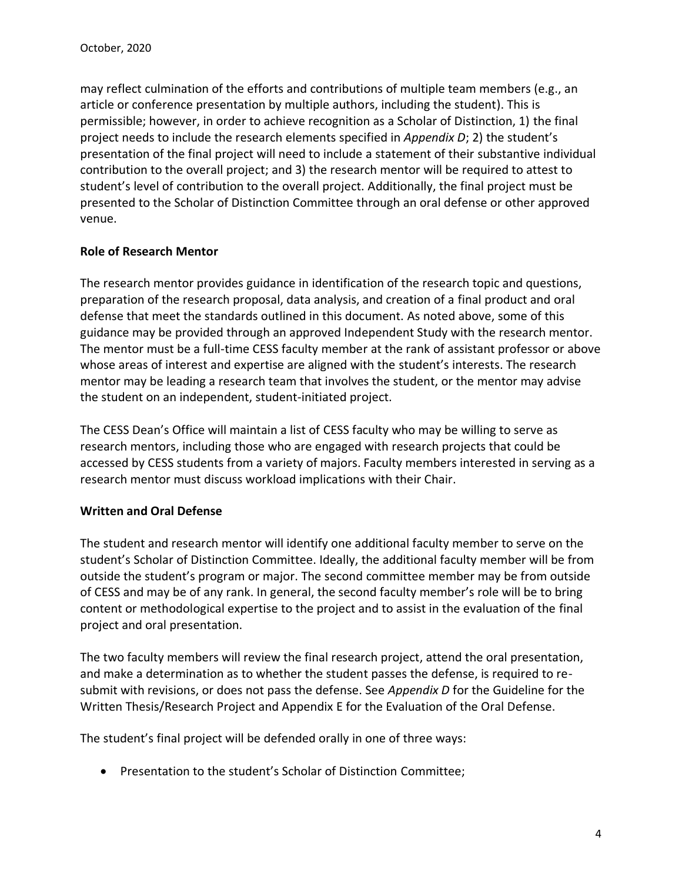may reflect culmination of the efforts and contributions of multiple team members (e.g., an article or conference presentation by multiple authors, including the student). This is permissible; however, in order to achieve recognition as a Scholar of Distinction, 1) the final project needs to include the research elements specified in *Appendix D*; 2) the student's presentation of the final project will need to include a statement of their substantive individual contribution to the overall project; and 3) the research mentor will be required to attest to student's level of contribution to the overall project. Additionally, the final project must be presented to the Scholar of Distinction Committee through an oral defense or other approved venue.

# **Role of Research Mentor**

The research mentor provides guidance in identification of the research topic and questions, preparation of the research proposal, data analysis, and creation of a final product and oral defense that meet the standards outlined in this document. As noted above, some of this guidance may be provided through an approved Independent Study with the research mentor. The mentor must be a full-time CESS faculty member at the rank of assistant professor or above whose areas of interest and expertise are aligned with the student's interests. The research mentor may be leading a research team that involves the student, or the mentor may advise the student on an independent, student-initiated project.

The CESS Dean's Office will maintain a list of CESS faculty who may be willing to serve as research mentors, including those who are engaged with research projects that could be accessed by CESS students from a variety of majors. Faculty members interested in serving as a research mentor must discuss workload implications with their Chair.

# **Written and Oral Defense**

The student and research mentor will identify one additional faculty member to serve on the student's Scholar of Distinction Committee. Ideally, the additional faculty member will be from outside the student's program or major. The second committee member may be from outside of CESS and may be of any rank. In general, the second faculty member's role will be to bring content or methodological expertise to the project and to assist in the evaluation of the final project and oral presentation.

The two faculty members will review the final research project, attend the oral presentation, and make a determination as to whether the student passes the defense, is required to resubmit with revisions, or does not pass the defense. See *Appendix D* for the Guideline for the Written Thesis/Research Project and Appendix E for the Evaluation of the Oral Defense.

The student's final project will be defended orally in one of three ways:

• Presentation to the student's Scholar of Distinction Committee;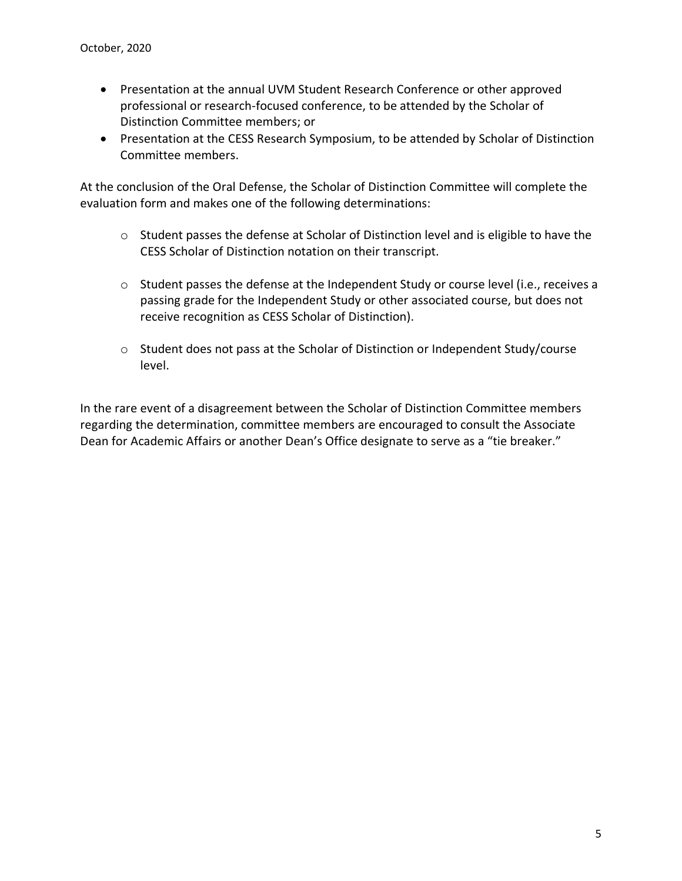- Presentation at the annual UVM Student Research Conference or other approved professional or research-focused conference, to be attended by the Scholar of Distinction Committee members; or
- Presentation at the CESS Research Symposium, to be attended by Scholar of Distinction Committee members.

At the conclusion of the Oral Defense, the Scholar of Distinction Committee will complete the evaluation form and makes one of the following determinations:

- o Student passes the defense at Scholar of Distinction level and is eligible to have the CESS Scholar of Distinction notation on their transcript.
- $\circ$  Student passes the defense at the Independent Study or course level (i.e., receives a passing grade for the Independent Study or other associated course, but does not receive recognition as CESS Scholar of Distinction).
- o Student does not pass at the Scholar of Distinction or Independent Study/course level.

In the rare event of a disagreement between the Scholar of Distinction Committee members regarding the determination, committee members are encouraged to consult the Associate Dean for Academic Affairs or another Dean's Office designate to serve as a "tie breaker."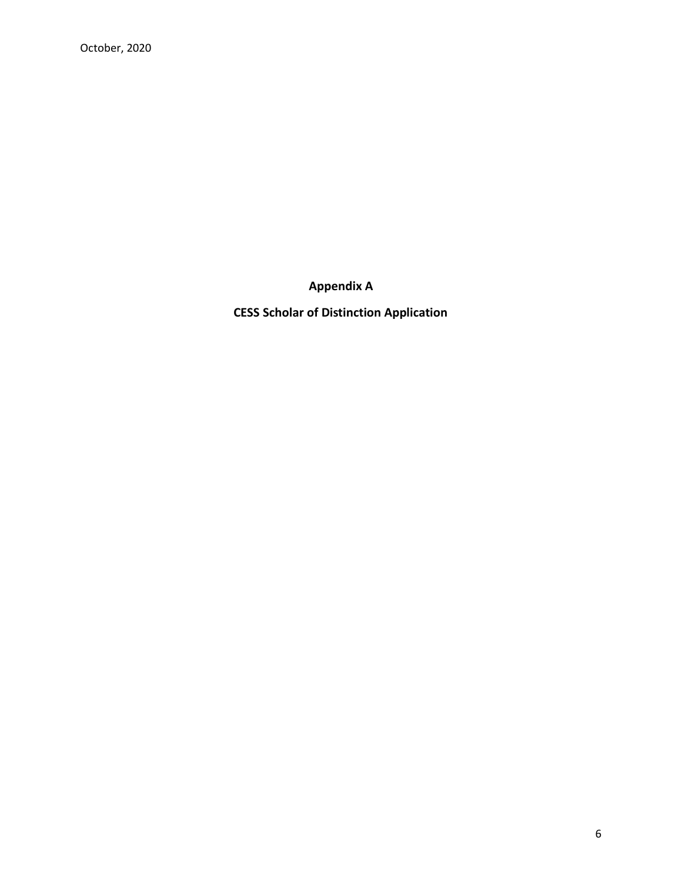**Appendix A**

**CESS Scholar of Distinction Application**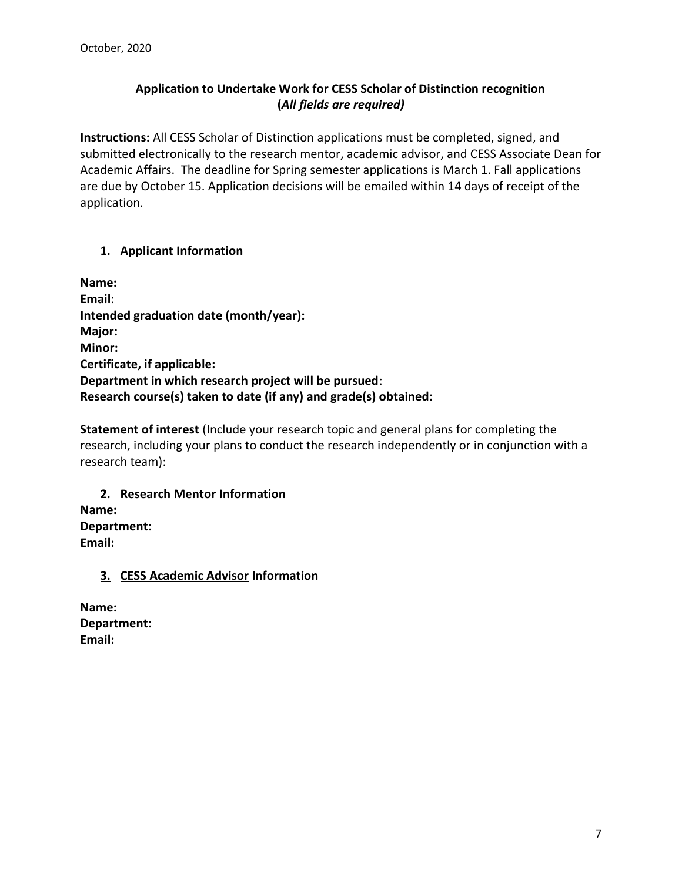# **Application to Undertake Work for CESS Scholar of Distinction recognition (***All fields are required)*

**Instructions:** All CESS Scholar of Distinction applications must be completed, signed, and submitted electronically to the research mentor, academic advisor, and CESS Associate Dean for Academic Affairs. The deadline for Spring semester applications is March 1. Fall applications are due by October 15. Application decisions will be emailed within 14 days of receipt of the application.

# **1. Applicant Information**

**Name: Email**: **Intended graduation date (month/year): Major: Minor: Certificate, if applicable: Department in which research project will be pursued**: **Research course(s) taken to date (if any) and grade(s) obtained:**

**Statement of interest** (Include your research topic and general plans for completing the research, including your plans to conduct the research independently or in conjunction with a research team):

**2. Research Mentor Information Name: Department: Email:**

# **3. CESS Academic Advisor Information**

**Name: Department: Email:**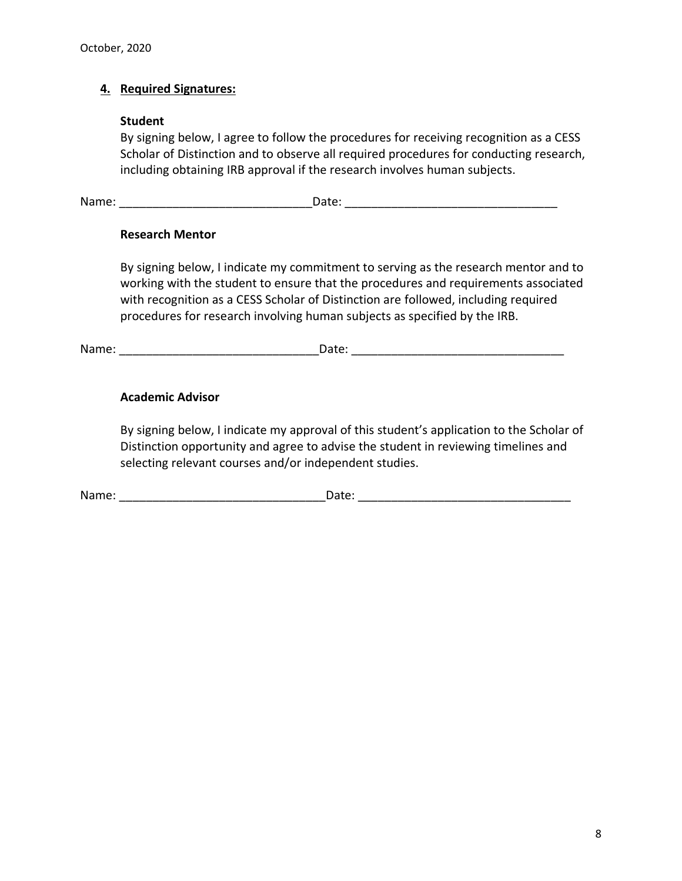# **4. Required Signatures:**

#### **Student**

By signing below, I agree to follow the procedures for receiving recognition as a CESS Scholar of Distinction and to observe all required procedures for conducting research, including obtaining IRB approval if the research involves human subjects.

Name: The contract of the contract of the contract of the contract of the contract of the contract of the contract of the contract of the contract of the contract of the contract of the contract of the contract of the cont

#### **Research Mentor**

By signing below, I indicate my commitment to serving as the research mentor and to working with the student to ensure that the procedures and requirements associated with recognition as a CESS Scholar of Distinction are followed, including required procedures for research involving human subjects as specified by the IRB.

Name: The contract of the contract of the Date:  $\Box$  Date:  $\Box$  Date:  $\Box$ 

# **Academic Advisor**

By signing below, I indicate my approval of this student's application to the Scholar of Distinction opportunity and agree to advise the student in reviewing timelines and selecting relevant courses and/or independent studies.

Name: The contract of the contract of the contract of the contract of the contract of the contract of the contract of the contract of the contract of the contract of the contract of the contract of the contract of the cont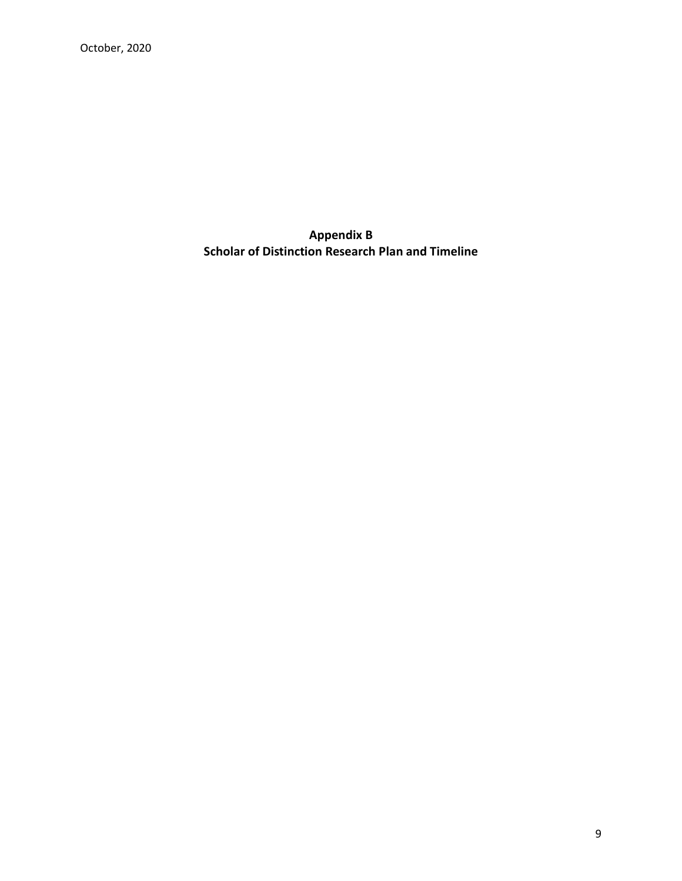**Appendix B Scholar of Distinction Research Plan and Timeline**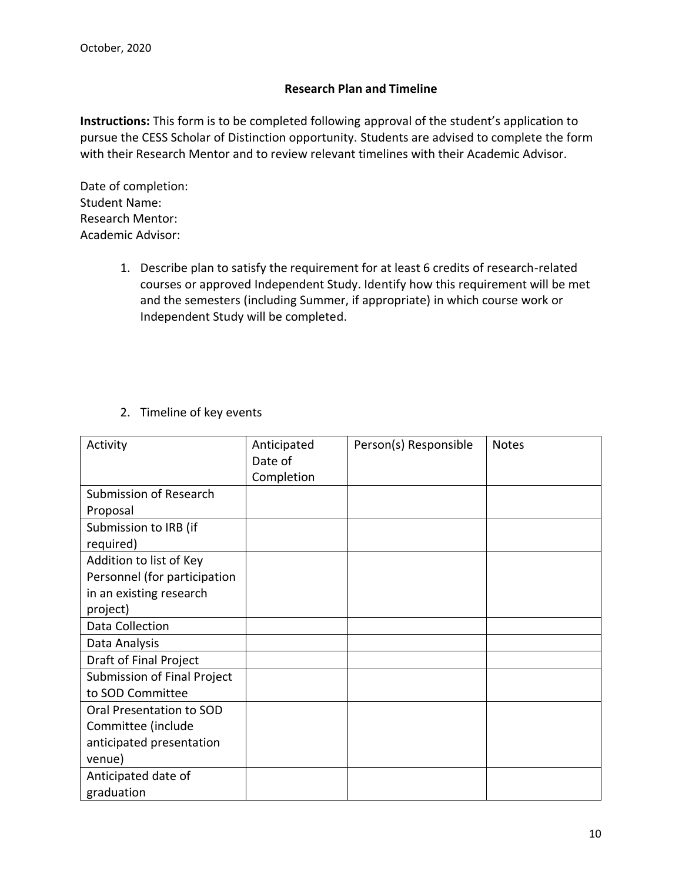#### **Research Plan and Timeline**

**Instructions:** This form is to be completed following approval of the student's application to pursue the CESS Scholar of Distinction opportunity. Students are advised to complete the form with their Research Mentor and to review relevant timelines with their Academic Advisor.

Date of completion: Student Name: Research Mentor: Academic Advisor:

- 1. Describe plan to satisfy the requirement for at least 6 credits of research-related courses or approved Independent Study. Identify how this requirement will be met and the semesters (including Summer, if appropriate) in which course work or Independent Study will be completed.
- 2. Timeline of key events

| Activity                     | Anticipated | Person(s) Responsible | <b>Notes</b> |
|------------------------------|-------------|-----------------------|--------------|
|                              | Date of     |                       |              |
|                              | Completion  |                       |              |
| Submission of Research       |             |                       |              |
| Proposal                     |             |                       |              |
| Submission to IRB (if        |             |                       |              |
| required)                    |             |                       |              |
| Addition to list of Key      |             |                       |              |
| Personnel (for participation |             |                       |              |
| in an existing research      |             |                       |              |
| project)                     |             |                       |              |
| Data Collection              |             |                       |              |
| Data Analysis                |             |                       |              |
| Draft of Final Project       |             |                       |              |
| Submission of Final Project  |             |                       |              |
| to SOD Committee             |             |                       |              |
| Oral Presentation to SOD     |             |                       |              |
| Committee (include           |             |                       |              |
| anticipated presentation     |             |                       |              |
| venue)                       |             |                       |              |
| Anticipated date of          |             |                       |              |
| graduation                   |             |                       |              |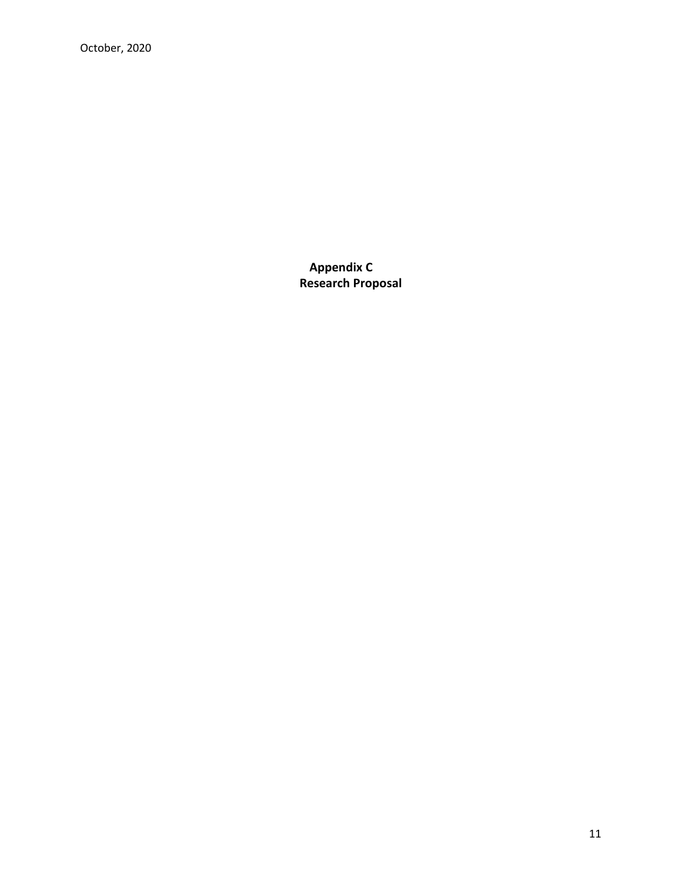October, 2020

**Appendix C Research Proposal**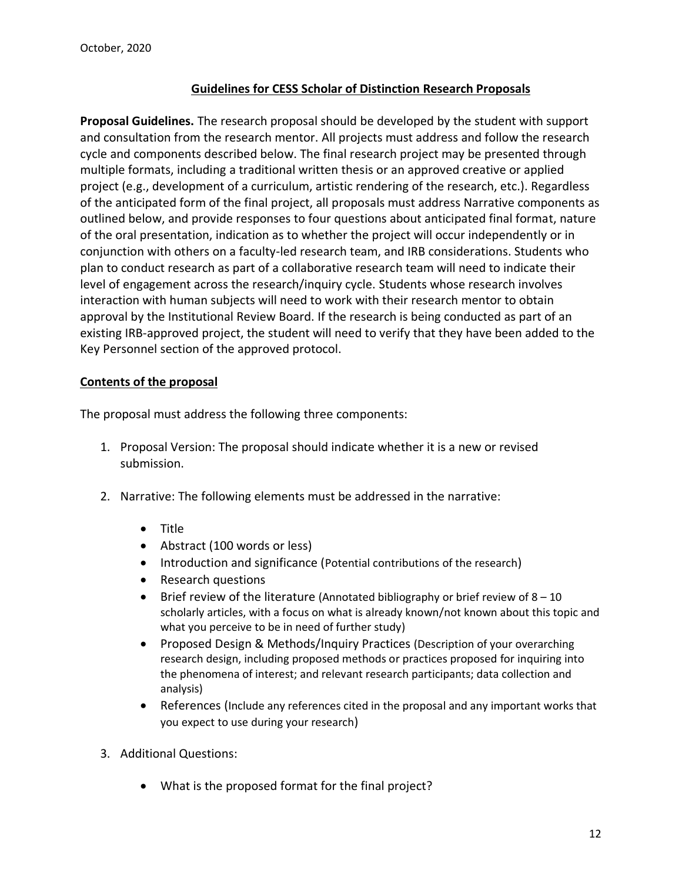# **Guidelines for CESS Scholar of Distinction Research Proposals**

**Proposal Guidelines.** The research proposal should be developed by the student with support and consultation from the research mentor. All projects must address and follow the research cycle and components described below. The final research project may be presented through multiple formats, including a traditional written thesis or an approved creative or applied project (e.g., development of a curriculum, artistic rendering of the research, etc.). Regardless of the anticipated form of the final project, all proposals must address Narrative components as outlined below, and provide responses to four questions about anticipated final format, nature of the oral presentation, indication as to whether the project will occur independently or in conjunction with others on a faculty-led research team, and IRB considerations. Students who plan to conduct research as part of a collaborative research team will need to indicate their level of engagement across the research/inquiry cycle. Students whose research involves interaction with human subjects will need to work with their research mentor to obtain approval by the Institutional Review Board. If the research is being conducted as part of an existing IRB-approved project, the student will need to verify that they have been added to the Key Personnel section of the approved protocol.

#### **Contents of the proposal**

The proposal must address the following three components:

- 1. Proposal Version: The proposal should indicate whether it is a new or revised submission.
- 2. Narrative: The following elements must be addressed in the narrative:
	- Title
	- Abstract (100 words or less)
	- Introduction and significance (Potential contributions of the research)
	- Research questions
	- Brief review of the literature (Annotated bibliography or brief review of  $8-10$ scholarly articles, with a focus on what is already known/not known about this topic and what you perceive to be in need of further study)
	- Proposed Design & Methods/Inquiry Practices (Description of your overarching research design, including proposed methods or practices proposed for inquiring into the phenomena of interest; and relevant research participants; data collection and analysis)
	- References (Include any references cited in the proposal and any important works that you expect to use during your research)
- 3. Additional Questions:
	- What is the proposed format for the final project?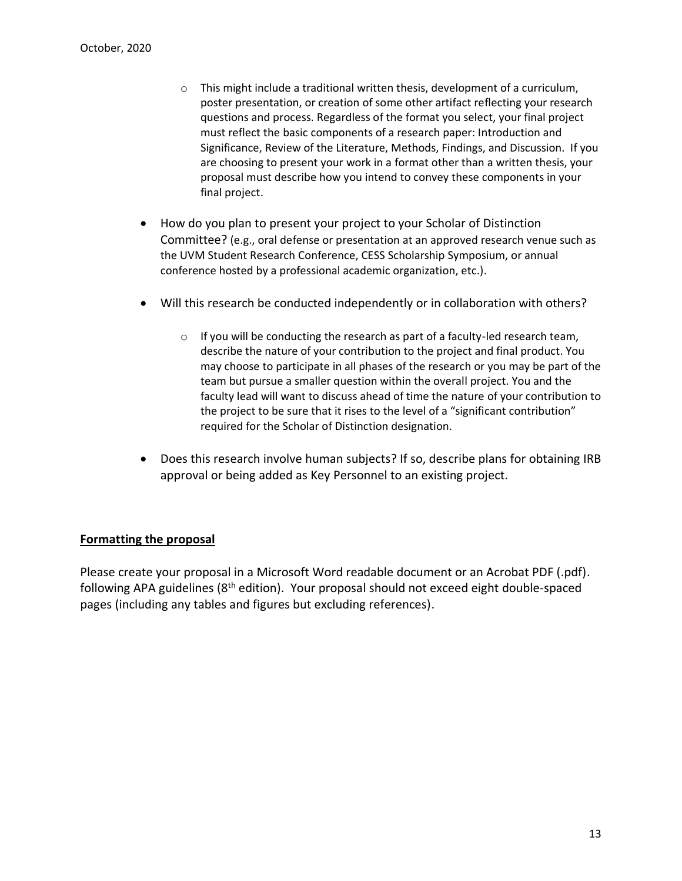- $\circ$  This might include a traditional written thesis, development of a curriculum, poster presentation, or creation of some other artifact reflecting your research questions and process. Regardless of the format you select, your final project must reflect the basic components of a research paper: Introduction and Significance, Review of the Literature, Methods, Findings, and Discussion. If you are choosing to present your work in a format other than a written thesis, your proposal must describe how you intend to convey these components in your final project.
- How do you plan to present your project to your Scholar of Distinction Committee? (e.g., oral defense or presentation at an approved research venue such as the UVM Student Research Conference, CESS Scholarship Symposium, or annual conference hosted by a professional academic organization, etc.).
- Will this research be conducted independently or in collaboration with others?
	- o If you will be conducting the research as part of a faculty-led research team, describe the nature of your contribution to the project and final product. You may choose to participate in all phases of the research or you may be part of the team but pursue a smaller question within the overall project. You and the faculty lead will want to discuss ahead of time the nature of your contribution to the project to be sure that it rises to the level of a "significant contribution" required for the Scholar of Distinction designation.
- Does this research involve human subjects? If so, describe plans for obtaining IRB approval or being added as Key Personnel to an existing project.

#### **Formatting the proposal**

Please create your proposal in a Microsoft Word readable document or an Acrobat PDF (.pdf). following APA guidelines (8<sup>th</sup> edition). Your proposal should not exceed eight double-spaced pages (including any tables and figures but excluding references).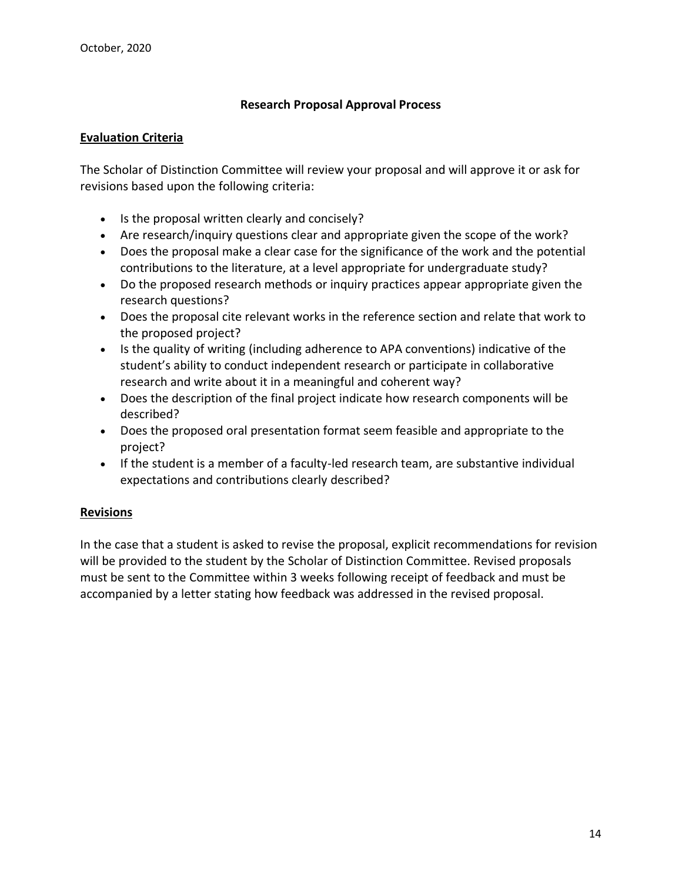# **Research Proposal Approval Process**

#### **Evaluation Criteria**

The Scholar of Distinction Committee will review your proposal and will approve it or ask for revisions based upon the following criteria:

- Is the proposal written clearly and concisely?
- Are research/inquiry questions clear and appropriate given the scope of the work?
- Does the proposal make a clear case for the significance of the work and the potential contributions to the literature, at a level appropriate for undergraduate study?
- Do the proposed research methods or inquiry practices appear appropriate given the research questions?
- Does the proposal cite relevant works in the reference section and relate that work to the proposed project?
- Is the quality of writing (including adherence to APA conventions) indicative of the student's ability to conduct independent research or participate in collaborative research and write about it in a meaningful and coherent way?
- Does the description of the final project indicate how research components will be described?
- Does the proposed oral presentation format seem feasible and appropriate to the project?
- If the student is a member of a faculty-led research team, are substantive individual expectations and contributions clearly described?

#### **Revisions**

In the case that a student is asked to revise the proposal, explicit recommendations for revision will be provided to the student by the Scholar of Distinction Committee. Revised proposals must be sent to the Committee within 3 weeks following receipt of feedback and must be accompanied by a letter stating how feedback was addressed in the revised proposal.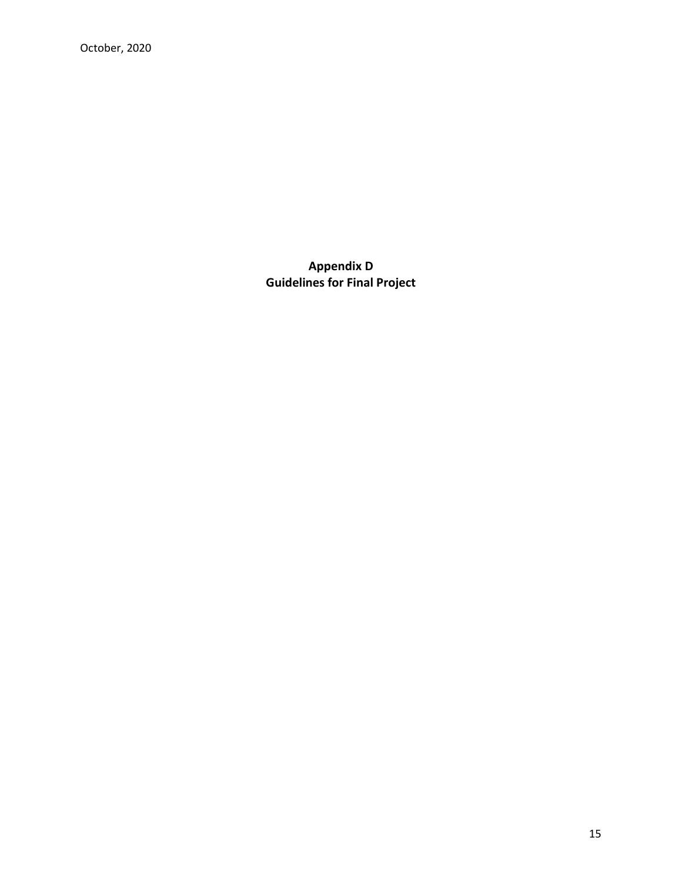October, 2020

**Appendix D Guidelines for Final Project**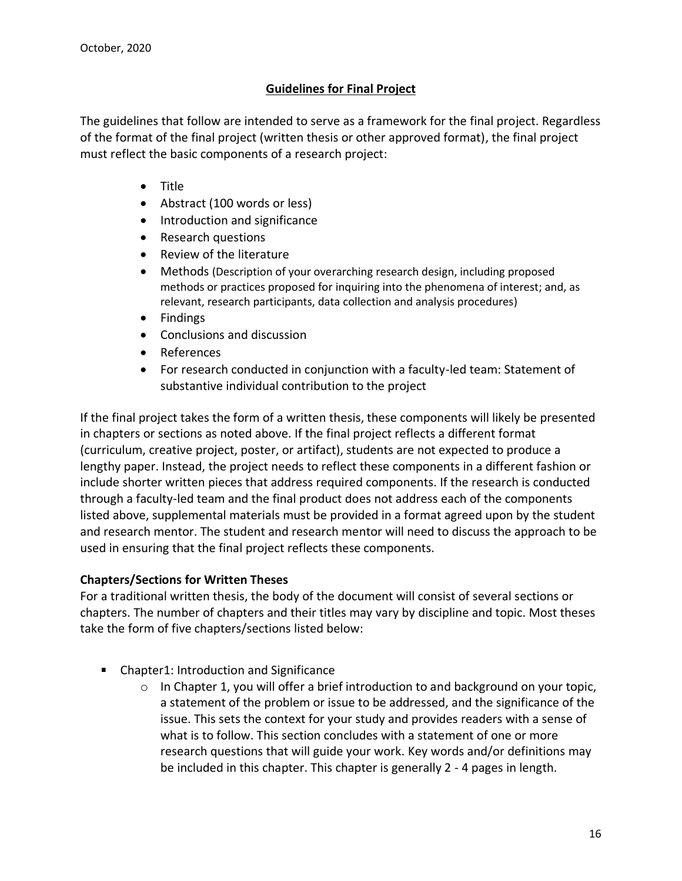# **Guidelines for Final Project**

The guidelines that follow are intended to serve as a framework for the final project. Regardless of the format of the final project (written thesis or other approved format), the final project must reflect the basic components of a research project:

- Title
- Abstract (100 words or less)
- Introduction and significance
- Research questions
- Review of the literature
- Methods (Description of your overarching research design, including proposed methods or practices proposed for inquiring into the phenomena of interest; and, as relevant, research participants, data collection and analysis procedures)
- Findings
- Conclusions and discussion
- References
- For research conducted in conjunction with a faculty-led team: Statement of substantive individual contribution to the project

If the final project takes the form of a written thesis, these components will likely be presented in chapters or sections as noted above. If the final project reflects a different format (curriculum, creative project, poster, or artifact), students are not expected to produce a lengthy paper. Instead, the project needs to reflect these components in a different fashion or include shorter written pieces that address required components. If the research is conducted through a faculty-led team and the final product does not address each of the components listed above, supplemental materials must be provided in a format agreed upon by the student and research mentor. The student and research mentor will need to discuss the approach to be used in ensuring that the final project reflects these components.

# **Chapters/Sections for Written Theses**

For a traditional written thesis, the body of the document will consist of several sections or chapters. The number of chapters and their titles may vary by discipline and topic. Most theses take the form of five chapters/sections listed below:

- Chapter1: Introduction and Significance
	- $\circ$  In Chapter 1, you will offer a brief introduction to and background on your topic, a statement of the problem or issue to be addressed, and the significance of the issue. This sets the context for your study and provides readers with a sense of what is to follow. This section concludes with a statement of one or more research questions that will guide your work. Key words and/or definitions may be included in this chapter. This chapter is generally 2 - 4 pages in length.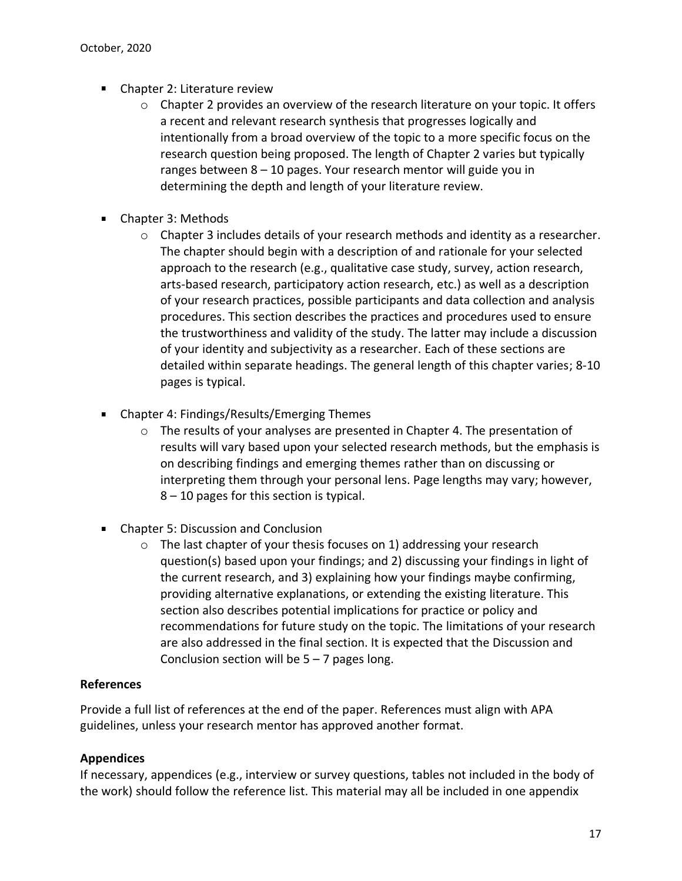- Chapter 2: Literature review
	- $\circ$  Chapter 2 provides an overview of the research literature on your topic. It offers a recent and relevant research synthesis that progresses logically and intentionally from a broad overview of the topic to a more specific focus on the research question being proposed. The length of Chapter 2 varies but typically ranges between 8 – 10 pages. Your research mentor will guide you in determining the depth and length of your literature review.
- Chapter 3: Methods
	- $\circ$  Chapter 3 includes details of your research methods and identity as a researcher. The chapter should begin with a description of and rationale for your selected approach to the research (e.g., qualitative case study, survey, action research, arts-based research, participatory action research, etc.) as well as a description of your research practices, possible participants and data collection and analysis procedures. This section describes the practices and procedures used to ensure the trustworthiness and validity of the study. The latter may include a discussion of your identity and subjectivity as a researcher. Each of these sections are detailed within separate headings. The general length of this chapter varies; 8-10 pages is typical.
- Chapter 4: Findings/Results/Emerging Themes
	- o The results of your analyses are presented in Chapter 4. The presentation of results will vary based upon your selected research methods, but the emphasis is on describing findings and emerging themes rather than on discussing or interpreting them through your personal lens. Page lengths may vary; however, 8 – 10 pages for this section is typical.
- **EXECUTE:** Chapter 5: Discussion and Conclusion
	- o The last chapter of your thesis focuses on 1) addressing your research question(s) based upon your findings; and 2) discussing your findings in light of the current research, and 3) explaining how your findings maybe confirming, providing alternative explanations, or extending the existing literature. This section also describes potential implications for practice or policy and recommendations for future study on the topic. The limitations of your research are also addressed in the final section. It is expected that the Discussion and Conclusion section will be  $5 - 7$  pages long.

#### **References**

Provide a full list of references at the end of the paper. References must align with APA guidelines, unless your research mentor has approved another format.

# **Appendices**

If necessary, appendices (e.g., interview or survey questions, tables not included in the body of the work) should follow the reference list. This material may all be included in one appendix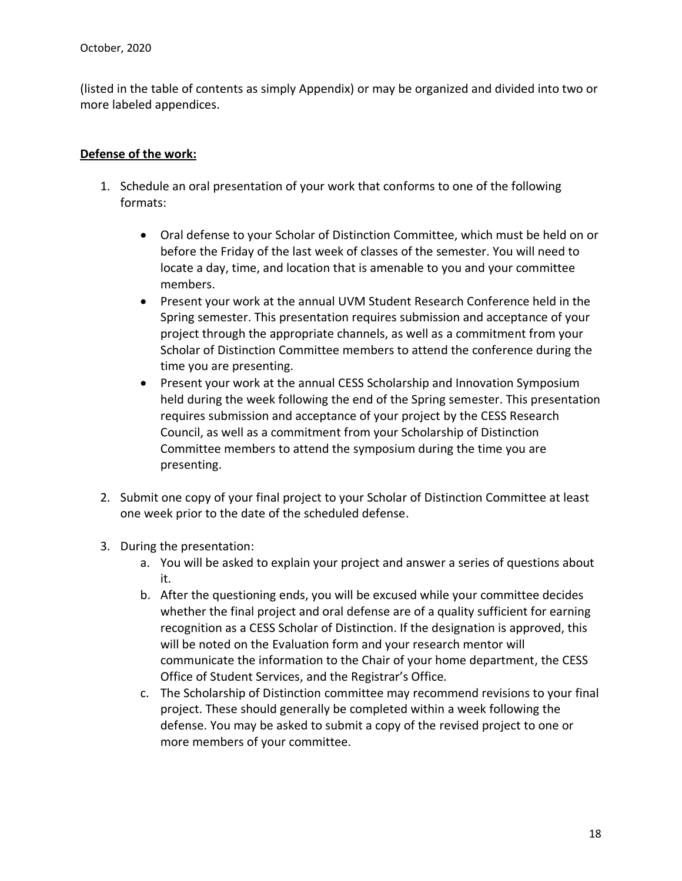(listed in the table of contents as simply Appendix) or may be organized and divided into two or more labeled appendices.

# **Defense of the work:**

- 1. Schedule an oral presentation of your work that conforms to one of the following formats:
	- Oral defense to your Scholar of Distinction Committee, which must be held on or before the Friday of the last week of classes of the semester. You will need to locate a day, time, and location that is amenable to you and your committee members.
	- Present your work at the annual UVM Student Research Conference held in the Spring semester. This presentation requires submission and acceptance of your project through the appropriate channels, as well as a commitment from your Scholar of Distinction Committee members to attend the conference during the time you are presenting.
	- Present your work at the annual CESS Scholarship and Innovation Symposium held during the week following the end of the Spring semester. This presentation requires submission and acceptance of your project by the CESS Research Council, as well as a commitment from your Scholarship of Distinction Committee members to attend the symposium during the time you are presenting.
- 2. Submit one copy of your final project to your Scholar of Distinction Committee at least one week prior to the date of the scheduled defense.
- 3. During the presentation:
	- a. You will be asked to explain your project and answer a series of questions about it.
	- b. After the questioning ends, you will be excused while your committee decides whether the final project and oral defense are of a quality sufficient for earning recognition as a CESS Scholar of Distinction. If the designation is approved, this will be noted on the Evaluation form and your research mentor will communicate the information to the Chair of your home department, the CESS Office of Student Services, and the Registrar's Office.
	- c. The Scholarship of Distinction committee may recommend revisions to your final project. These should generally be completed within a week following the defense. You may be asked to submit a copy of the revised project to one or more members of your committee.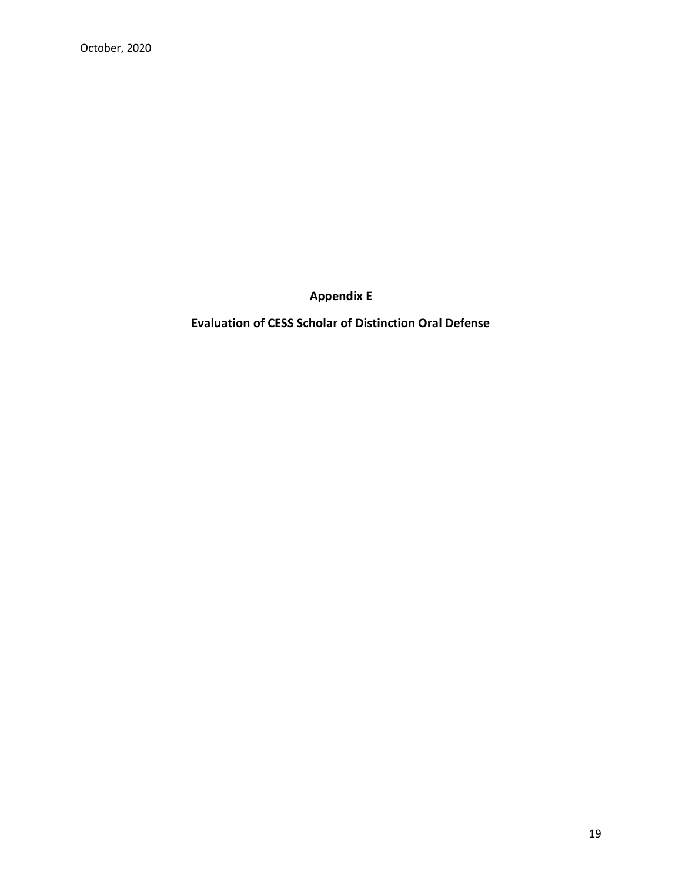**Appendix E**

**Evaluation of CESS Scholar of Distinction Oral Defense**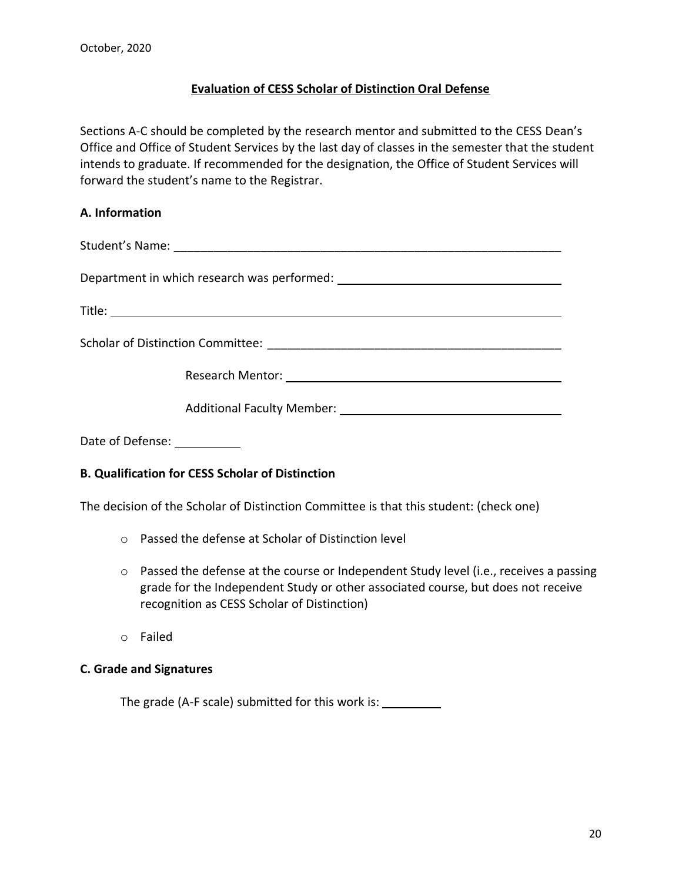# **Evaluation of CESS Scholar of Distinction Oral Defense**

Sections A-C should be completed by the research mentor and submitted to the CESS Dean's Office and Office of Student Services by the last day of classes in the semester that the student intends to graduate. If recommended for the designation, the Office of Student Services will forward the student's name to the Registrar.

#### **A. Information**

Student's Name: <u>and the student</u>'s Name:

Department in which research was performed:

Title: **The Community of the Community of the Community of the Community of the Community of the Community of the Community of the Community of the Community of the Community of the Community of the Community of the Commun** 

Scholar of Distinction Committee:  $\blacksquare$ 

Research Mentor:

| <b>Additional Faculty Member:</b> |  |
|-----------------------------------|--|
|                                   |  |

Date of Defense:

#### **B. Qualification for CESS Scholar of Distinction**

The decision of the Scholar of Distinction Committee is that this student: (check one)

- o Passed the defense at Scholar of Distinction level
- $\circ$  Passed the defense at the course or Independent Study level (i.e., receives a passing grade for the Independent Study or other associated course, but does not receive recognition as CESS Scholar of Distinction)
- o Failed

#### **C. Grade and Signatures**

The grade (A-F scale) submitted for this work is: